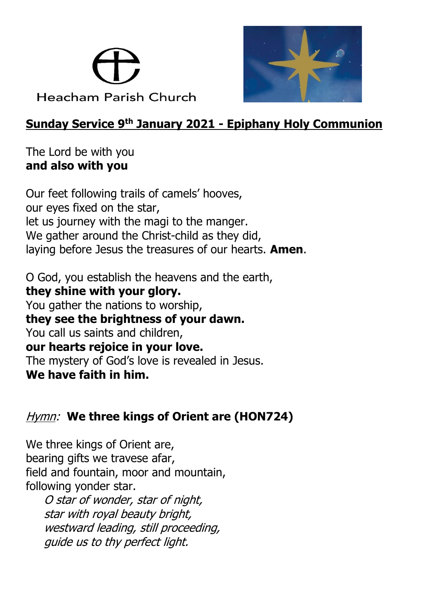



# **Sunday Service 9 th January 2021 - Epiphany Holy Communion**

The Lord be with you **and also with you**

Our feet following trails of camels' hooves, our eyes fixed on the star, let us journey with the magi to the manger. We gather around the Christ-child as they did, laying before Jesus the treasures of our hearts. **Amen**.

O God, you establish the heavens and the earth, **they shine with your glory.** You gather the nations to worship, **they see the brightness of your dawn.** You call us saints and children, **our hearts rejoice in your love.** The mystery of God's love is revealed in Jesus. **We have faith in him.**

### Hymn: **We three kings of Orient are (HON724)**

We three kings of Orient are, bearing gifts we travese afar, field and fountain, moor and mountain, following yonder star.

 O star of wonder, star of night, star with royal beauty bright, westward leading, still proceeding, guide us to thy perfect light.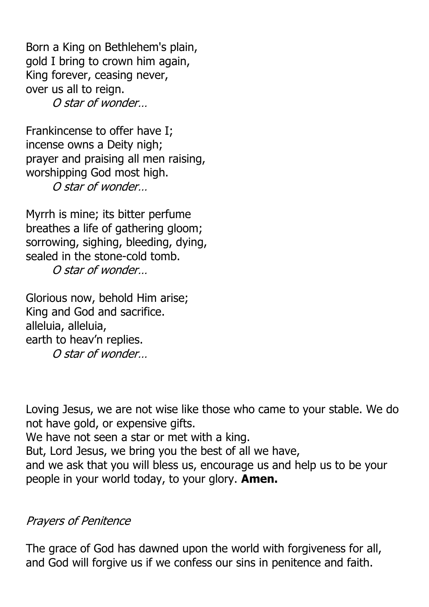Born a King on Bethlehem's plain, gold I bring to crown him again, King forever, ceasing never, over us all to reign.

O star of wonder…

Frankincense to offer have I; incense owns a Deity nigh; prayer and praising all men raising, worshipping God most high. O star of wonder…

Myrrh is mine; its bitter perfume breathes a life of gathering gloom; sorrowing, sighing, bleeding, dying, sealed in the stone-cold tomb. O star of wonder…

Glorious now, behold Him arise; King and God and sacrifice. alleluia, alleluia, earth to heav'n replies. O star of wonder…

Loving Jesus, we are not wise like those who came to your stable. We do not have gold, or expensive gifts.

We have not seen a star or met with a king.

But, Lord Jesus, we bring you the best of all we have,

and we ask that you will bless us, encourage us and help us to be your people in your world today, to your glory. **Amen.**

#### Prayers of Penitence

The grace of God has dawned upon the world with forgiveness for all, and God will forgive us if we confess our sins in penitence and faith.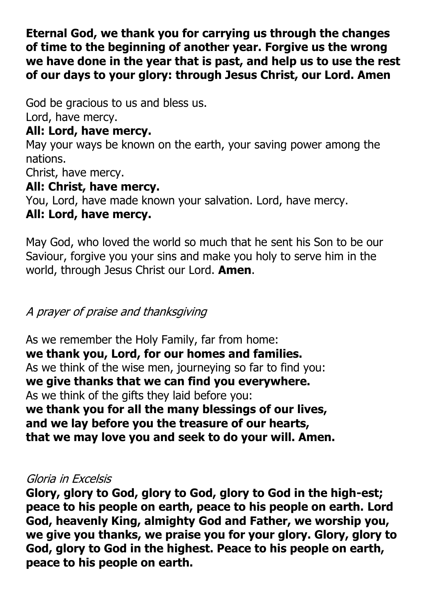**Eternal God, we thank you for carrying us through the changes of time to the beginning of another year. Forgive us the wrong we have done in the year that is past, and help us to use the rest of our days to your glory: through Jesus Christ, our Lord. Amen**

God be gracious to us and bless us.

Lord, have mercy.

# **All: Lord, have mercy.**

May your ways be known on the earth, your saving power among the nations.

Christ, have mercy.

## **All: Christ, have mercy.**

You, Lord, have made known your salvation. Lord, have mercy. **All: Lord, have mercy.**

May God, who loved the world so much that he sent his Son to be our Saviour, forgive you your sins and make you holy to serve him in the world, through Jesus Christ our Lord. **Amen**.

# [A prayer of praise and thanksgiving](javascript:void(0))

As we remember the Holy Family, far from home: **we thank you, Lord, for our homes and families.** As we think of the wise men, journeying so far to find you: **we give thanks that we can find you everywhere.** As we think of the gifts they laid before you: **we thank you for all the many blessings of our lives, and we lay before you the treasure of our hearts, that we may love you and seek to do your will. Amen.**

#### Gloria in Excelsis

**Glory, glory to God, glory to God, glory to God in the high-est; peace to his people on earth, peace to his people on earth. Lord God, heavenly King, almighty God and Father, we worship you, we give you thanks, we praise you for your glory. Glory, glory to God, glory to God in the highest. Peace to his people on earth, peace to his people on earth.**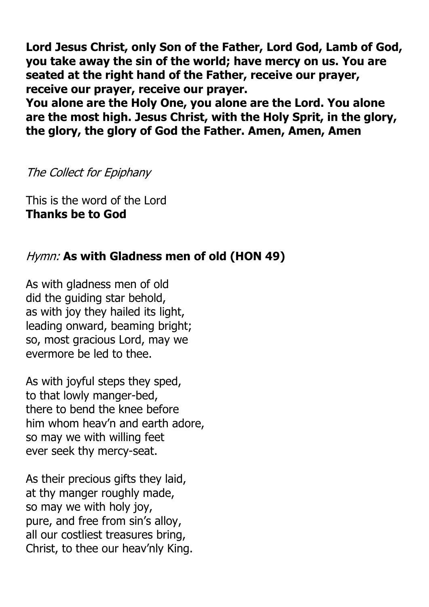**Lord Jesus Christ, only Son of the Father, Lord God, Lamb of God, you take away the sin of the world; have mercy on us. You are seated at the right hand of the Father, receive our prayer, receive our prayer, receive our prayer.** 

**You alone are the Holy One, you alone are the Lord. You alone are the most high. Jesus Christ, with the Holy Sprit, in the glory, the glory, the glory of God the Father. Amen, Amen, Amen** 

### The Collect for Epiphany

This is the word of the Lord **Thanks be to God**

### Hymn: **As with Gladness men of old (HON 49)**

As with gladness men of old did the guiding star behold, as with joy they hailed its light, leading onward, beaming bright; so, most gracious Lord, may we evermore be led to thee.

As with joyful steps they sped, to that lowly manger-bed, there to bend the knee before him whom heav'n and earth adore, so may we with willing feet ever seek thy mercy-seat.

As their precious gifts they laid, at thy manger roughly made, so may we with holy joy, pure, and free from sin's alloy, all our costliest treasures bring, Christ, to thee our heav'nly King.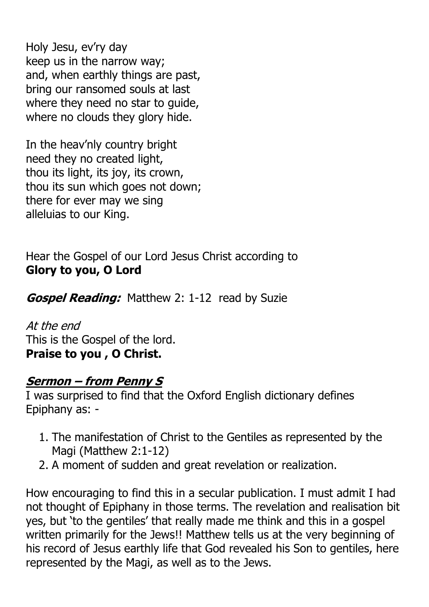Holy Jesu, ev'ry day keep us in the narrow way; and, when earthly things are past, bring our ransomed souls at last where they need no star to guide, where no clouds they glory hide.

In the heav'nly country bright need they no created light, thou its light, its joy, its crown, thou its sun which goes not down; there for ever may we sing alleluias to our King.

Hear the Gospel of our Lord Jesus Christ according to **Glory to you, O Lord**

**Gospel Reading:** Matthew 2: 1-12 read by Suzie

At the end This is the Gospel of the lord. **Praise to you , O Christ.**

#### **Sermon – from Penny S**

I was surprised to find that the Oxford English dictionary defines Epiphany as: -

- 1. The manifestation of Christ to the Gentiles as represented by the Magi (Matthew 2:1-12)
- 2. A moment of sudden and great revelation or realization.

How encouraging to find this in a secular publication. I must admit I had not thought of Epiphany in those terms. The revelation and realisation bit yes, but 'to the gentiles' that really made me think and this in a gospel written primarily for the Jews!! Matthew tells us at the very beginning of his record of Jesus earthly life that God revealed his Son to gentiles, here represented by the Magi, as well as to the Jews.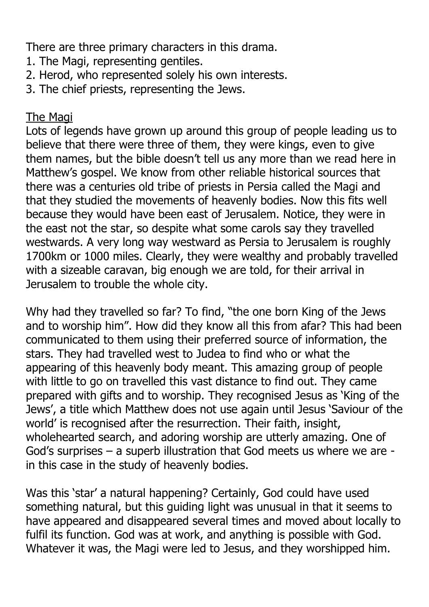There are three primary characters in this drama.

- 1. The Magi, representing gentiles.
- 2. Herod, who represented solely his own interests.
- 3. The chief priests, representing the Jews.

### The Magi

Lots of legends have grown up around this group of people leading us to believe that there were three of them, they were kings, even to give them names, but the bible doesn't tell us any more than we read here in Matthew's gospel. We know from other reliable historical sources that there was a centuries old tribe of priests in Persia called the Magi and that they studied the movements of heavenly bodies. Now this fits well because they would have been east of Jerusalem. Notice, they were in the east not the star, so despite what some carols say they travelled westwards. A very long way westward as Persia to Jerusalem is roughly 1700km or 1000 miles. Clearly, they were wealthy and probably travelled with a sizeable caravan, big enough we are told, for their arrival in Jerusalem to trouble the whole city.

Why had they travelled so far? To find, "the one born King of the Jews and to worship him". How did they know all this from afar? This had been communicated to them using their preferred source of information, the stars. They had travelled west to Judea to find who or what the appearing of this heavenly body meant. This amazing group of people with little to go on travelled this vast distance to find out. They came prepared with gifts and to worship. They recognised Jesus as 'King of the Jews', a title which Matthew does not use again until Jesus 'Saviour of the world' is recognised after the resurrection. Their faith, insight, wholehearted search, and adoring worship are utterly amazing. One of God's surprises – a superb illustration that God meets us where we are in this case in the study of heavenly bodies.

Was this 'star' a natural happening? Certainly, God could have used something natural, but this guiding light was unusual in that it seems to have appeared and disappeared several times and moved about locally to fulfil its function. God was at work, and anything is possible with God. Whatever it was, the Magi were led to Jesus, and they worshipped him.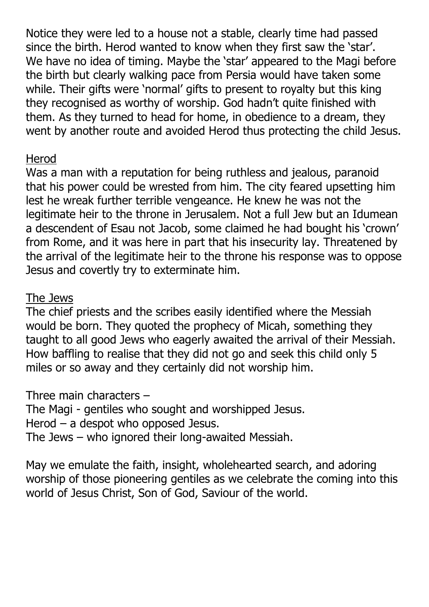Notice they were led to a house not a stable, clearly time had passed since the birth. Herod wanted to know when they first saw the 'star'. We have no idea of timing. Maybe the 'star' appeared to the Magi before the birth but clearly walking pace from Persia would have taken some while. Their gifts were 'normal' gifts to present to royalty but this king they recognised as worthy of worship. God hadn't quite finished with them. As they turned to head for home, in obedience to a dream, they went by another route and avoided Herod thus protecting the child Jesus.

## Herod

Was a man with a reputation for being ruthless and jealous, paranoid that his power could be wrested from him. The city feared upsetting him lest he wreak further terrible vengeance. He knew he was not the legitimate heir to the throne in Jerusalem. Not a full Jew but an Idumean a descendent of Esau not Jacob, some claimed he had bought his 'crown' from Rome, and it was here in part that his insecurity lay. Threatened by the arrival of the legitimate heir to the throne his response was to oppose Jesus and covertly try to exterminate him.

## The Jews

The chief priests and the scribes easily identified where the Messiah would be born. They quoted the prophecy of Micah, something they taught to all good Jews who eagerly awaited the arrival of their Messiah. How baffling to realise that they did not go and seek this child only 5 miles or so away and they certainly did not worship him.

Three main characters –

The Magi - gentiles who sought and worshipped Jesus.

Herod – a despot who opposed Jesus.

The Jews – who ignored their long-awaited Messiah.

May we emulate the faith, insight, wholehearted search, and adoring worship of those pioneering gentiles as we celebrate the coming into this world of Jesus Christ, Son of God, Saviour of the world.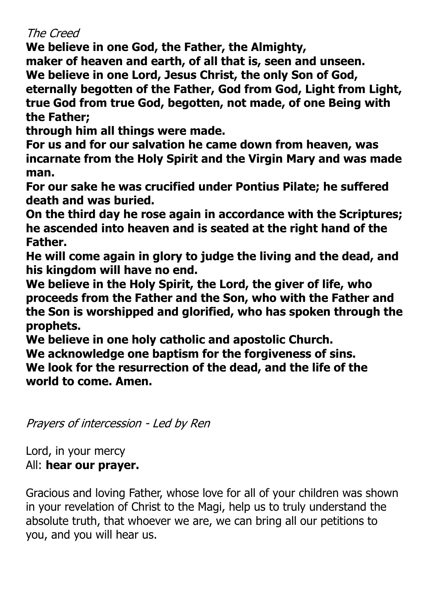### The Creed

**We believe in one God, the Father, the Almighty,**

**maker of heaven and earth, of all that is, seen and unseen. We believe in one Lord, Jesus Christ, the only Son of God, eternally begotten of the Father, God from God, Light from Light, true God from true God, begotten, not made, of one Being with the Father;**

**through him all things were made.**

**For us and for our salvation he came down from heaven, was incarnate from the Holy Spirit and the Virgin Mary and was made man.**

**For our sake he was crucified under Pontius Pilate; he suffered death and was buried.**

**On the third day he rose again in accordance with the Scriptures; he ascended into heaven and is seated at the right hand of the Father.**

**He will come again in glory to judge the living and the dead, and his kingdom will have no end.**

**We believe in the Holy Spirit, the Lord, the giver of life, who proceeds from the Father and the Son, who with the Father and the Son is worshipped and glorified, who has spoken through the prophets.**

**We believe in one holy catholic and apostolic Church. We acknowledge one baptism for the forgiveness of sins. We look for the resurrection of the dead, and the life of the world to come. Amen.**

Prayers of intercession - Led by Ren

Lord, in your mercy All: **hear our prayer.** 

Gracious and loving Father, whose love for all of your children was shown in your revelation of Christ to the Magi, help us to truly understand the absolute truth, that whoever we are, we can bring all our petitions to you, and you will hear us.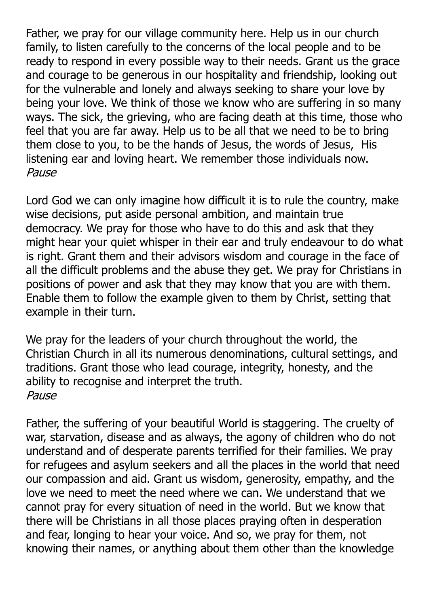Father, we pray for our village community here. Help us in our church family, to listen carefully to the concerns of the local people and to be ready to respond in every possible way to their needs. Grant us the grace and courage to be generous in our hospitality and friendship, looking out for the vulnerable and lonely and always seeking to share your love by being your love. We think of those we know who are suffering in so many ways. The sick, the grieving, who are facing death at this time, those who feel that you are far away. Help us to be all that we need to be to bring them close to you, to be the hands of Jesus, the words of Jesus, His listening ear and loving heart. We remember those individuals now. Pause

Lord God we can only imagine how difficult it is to rule the country, make wise decisions, put aside personal ambition, and maintain true democracy. We pray for those who have to do this and ask that they might hear your quiet whisper in their ear and truly endeavour to do what is right. Grant them and their advisors wisdom and courage in the face of all the difficult problems and the abuse they get. We pray for Christians in positions of power and ask that they may know that you are with them. Enable them to follow the example given to them by Christ, setting that example in their turn.

We pray for the leaders of your church throughout the world, the Christian Church in all its numerous denominations, cultural settings, and traditions. Grant those who lead courage, integrity, honesty, and the ability to recognise and interpret the truth. Pause

Father, the suffering of your beautiful World is staggering. The cruelty of war, starvation, disease and as always, the agony of children who do not understand and of desperate parents terrified for their families. We pray for refugees and asylum seekers and all the places in the world that need our compassion and aid. Grant us wisdom, generosity, empathy, and the love we need to meet the need where we can. We understand that we cannot pray for every situation of need in the world. But we know that there will be Christians in all those places praying often in desperation and fear, longing to hear your voice. And so, we pray for them, not knowing their names, or anything about them other than the knowledge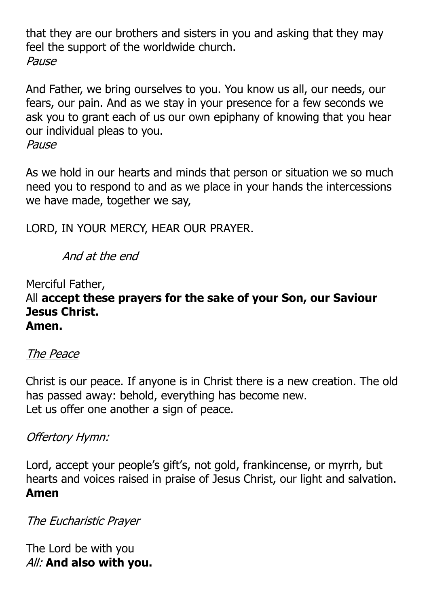that they are our brothers and sisters in you and asking that they may feel the support of the worldwide church. Pause

And Father, we bring ourselves to you. You know us all, our needs, our fears, our pain. And as we stay in your presence for a few seconds we ask you to grant each of us our own epiphany of knowing that you hear our individual pleas to you. Pause

As we hold in our hearts and minds that person or situation we so much need you to respond to and as we place in your hands the intercessions we have made, together we say,

LORD, IN YOUR MERCY, HEAR OUR PRAYER.

And at the end

#### Merciful Father, All **accept these prayers for the sake of your Son, our Saviour Jesus Christ. Amen.**

# The Peace

Christ is our peace. If anyone is in Christ there is a new creation. The old has passed away: behold, everything has become new. Let us offer one another a sign of peace.

# Offertory Hymn:

Lord, accept your people's gift's, not gold, frankincense, or myrrh, but hearts and voices raised in praise of Jesus Christ, our light and salvation. **Amen**

The Eucharistic Prayer

The Lord be with you All: **And also with you.**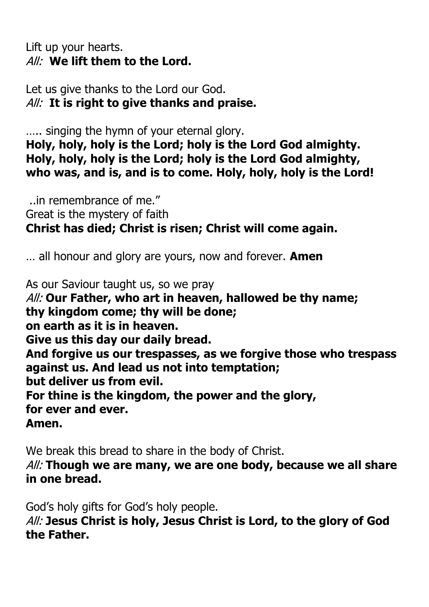Lift up your hearts. All: **We lift them to the Lord.**

Let us give thanks to the Lord our God. All: **It is right to give thanks and praise.**

….. singing the hymn of your eternal glory. **Holy, holy, holy is the Lord; holy is the Lord God almighty. Holy, holy, holy is the Lord; holy is the Lord God almighty, who was, and is, and is to come. Holy, holy, holy is the Lord!**

..in remembrance of me." Great is the mystery of faith **Christ has died; Christ is risen; Christ will come again.**

… all honour and glory are yours, now and forever. **Amen**

As our Saviour taught us, so we pray All: **Our Father, who art in heaven, hallowed be thy name; thy kingdom come; thy will be done; on earth as it is in heaven. Give us this day our daily bread. And forgive us our trespasses, as we forgive those who trespass against us. And lead us not into temptation; but deliver us from evil. For thine is the kingdom, the power and the glory, for ever and ever. Amen.** 

We break this bread to share in the body of Christ. All: **Though we are many, we are one body, because we all share in one bread.**

God's holy gifts for God's holy people.

All: **Jesus Christ is holy, Jesus Christ is Lord, to the glory of God the Father.**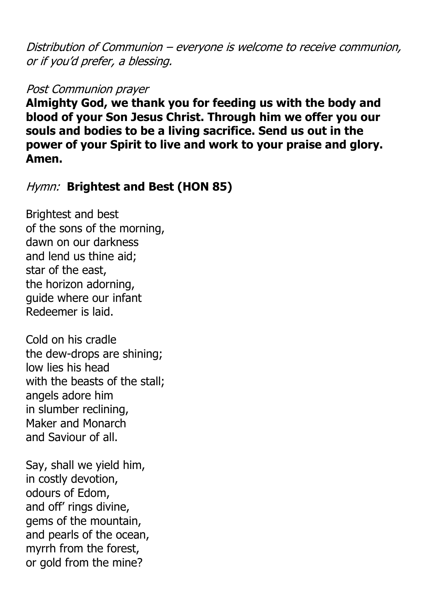Distribution of Communion – everyone is welcome to receive communion, or if you'd prefer, a blessing.

#### Post Communion prayer

**Almighty God, we thank you for feeding us with the body and blood of your Son Jesus Christ. Through him we offer you our souls and bodies to be a living sacrifice. Send us out in the power of your Spirit to live and work to your praise and glory. Amen.**

## Hymn: **Brightest and Best (HON 85)**

Brightest and best of the sons of the morning, dawn on our darkness and lend us thine aid; star of the east, the horizon adorning, guide where our infant Redeemer is laid.

Cold on his cradle the dew-drops are shining; low lies his head with the beasts of the stall; angels adore him in slumber reclining, Maker and Monarch and Saviour of all.

Say, shall we yield him, in costly devotion, odours of Edom, and off' rings divine, gems of the mountain, and pearls of the ocean, myrrh from the forest, or gold from the mine?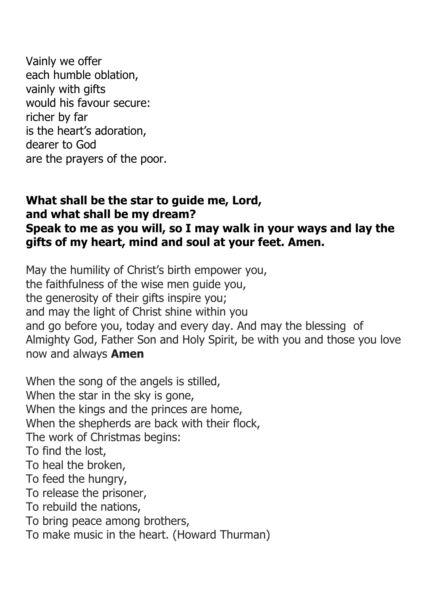Vainly we offer each humble oblation, vainly with gifts would his favour secure: richer by far is the heart's adoration, dearer to God are the prayers of the poor.

### **What shall be the star to guide me, Lord, and what shall be my dream? Speak to me as you will, so I may walk in your ways and lay the gifts of my heart, mind and soul at your feet. Amen.**

May the humility of Christ's birth empower you, the faithfulness of the wise men guide you, the generosity of their gifts inspire you; and may the light of Christ shine within you and go before you, today and every day. And may the blessing of Almighty God, Father Son and Holy Spirit, be with you and those you love now and always **Amen** 

When the song of the angels is stilled, When the star in the sky is gone, When the kings and the princes are home, When the shepherds are back with their flock, The work of Christmas begins: To find the lost, To heal the broken, To feed the hungry, To release the prisoner, To rebuild the nations, To bring peace among brothers, To make music in the heart. (Howard Thurman)